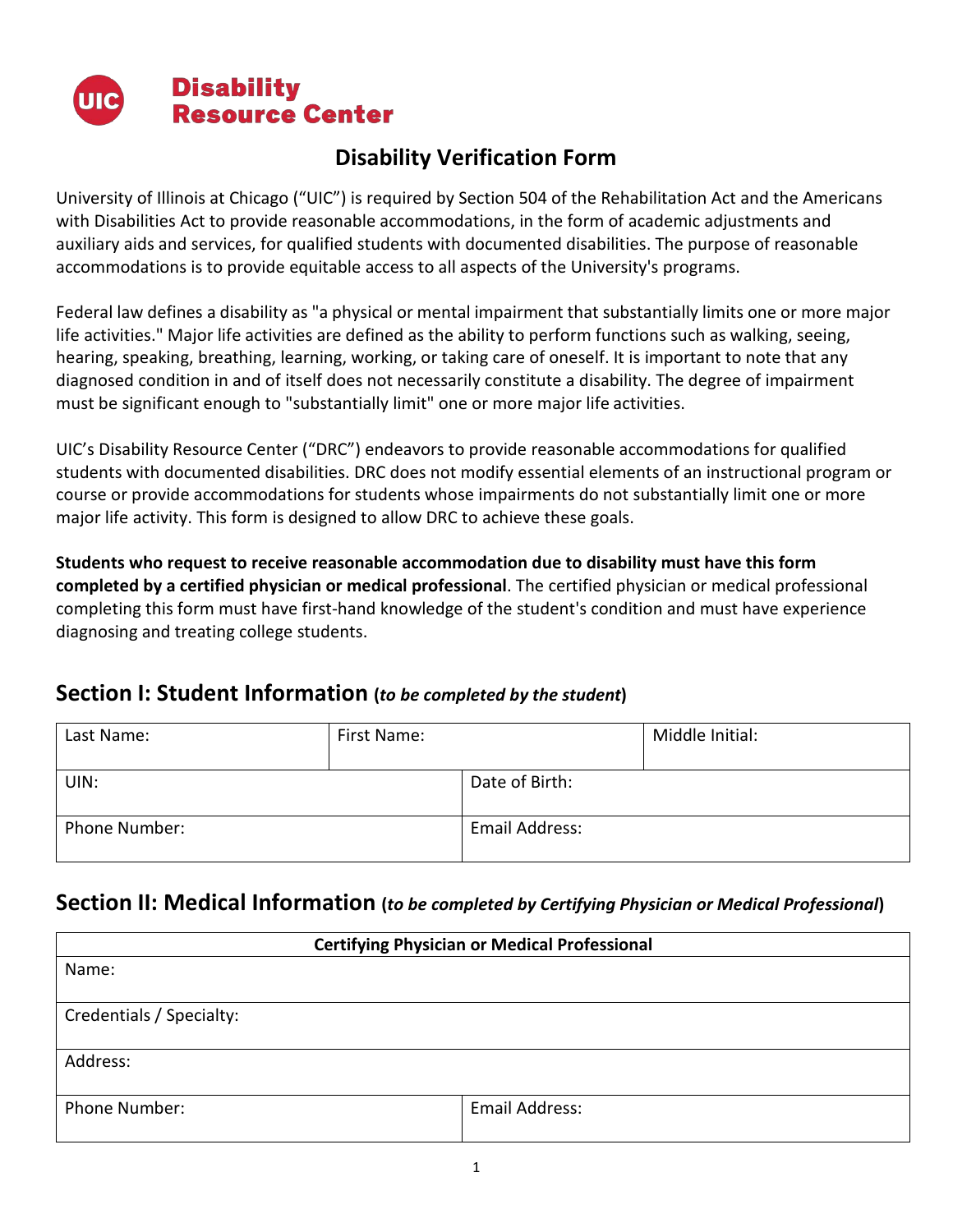

## **Disability Verification Form**

University of Illinois at Chicago ("UIC") is required by Section 504 of the Rehabilitation Act and the Americans with Disabilities Act to provide reasonable accommodations, in the form of academic adjustments and auxiliary aids and services, for qualified students with documented disabilities. The purpose of reasonable accommodations is to provide equitable access to all aspects of the University's programs.

Federal law defines a disability as "a physical or mental impairment that substantially limits one or more major life activities." Major life activities are defined as the ability to perform functions such as walking, seeing, hearing, speaking, breathing, learning, working, or taking care of oneself. It is important to note that any diagnosed condition in and of itself does not necessarily constitute a disability. The degree of impairment must be significant enough to "substantially limit" one or more major life activities.

UIC's Disability Resource Center ("DRC") endeavors to provide reasonable accommodations for qualified students with documented disabilities. DRC does not modify essential elements of an instructional program or course or provide accommodations for students whose impairments do not substantially limit one or more major life activity. This form is designed to allow DRC to achieve these goals.

**Students who request to receive reasonable accommodation due to disability must have this form completed by a certified physician or medical professional**. The certified physician or medical professional completing this form must have first-hand knowledge of the student's condition and must have experience diagnosing and treating college students.

### **Section I: Student Information (***to be completed by the student***)**

| Last Name:    | First Name: |                | Middle Initial: |
|---------------|-------------|----------------|-----------------|
| UIN:          |             | Date of Birth: |                 |
| Phone Number: |             | Email Address: |                 |

## **Section II: Medical Information (***to be completed by Certifying Physician or Medical Professional***)**

| <b>Certifying Physician or Medical Professional</b> |  |  |  |
|-----------------------------------------------------|--|--|--|
|                                                     |  |  |  |
|                                                     |  |  |  |
|                                                     |  |  |  |
|                                                     |  |  |  |
|                                                     |  |  |  |
|                                                     |  |  |  |
| Email Address:                                      |  |  |  |
|                                                     |  |  |  |
|                                                     |  |  |  |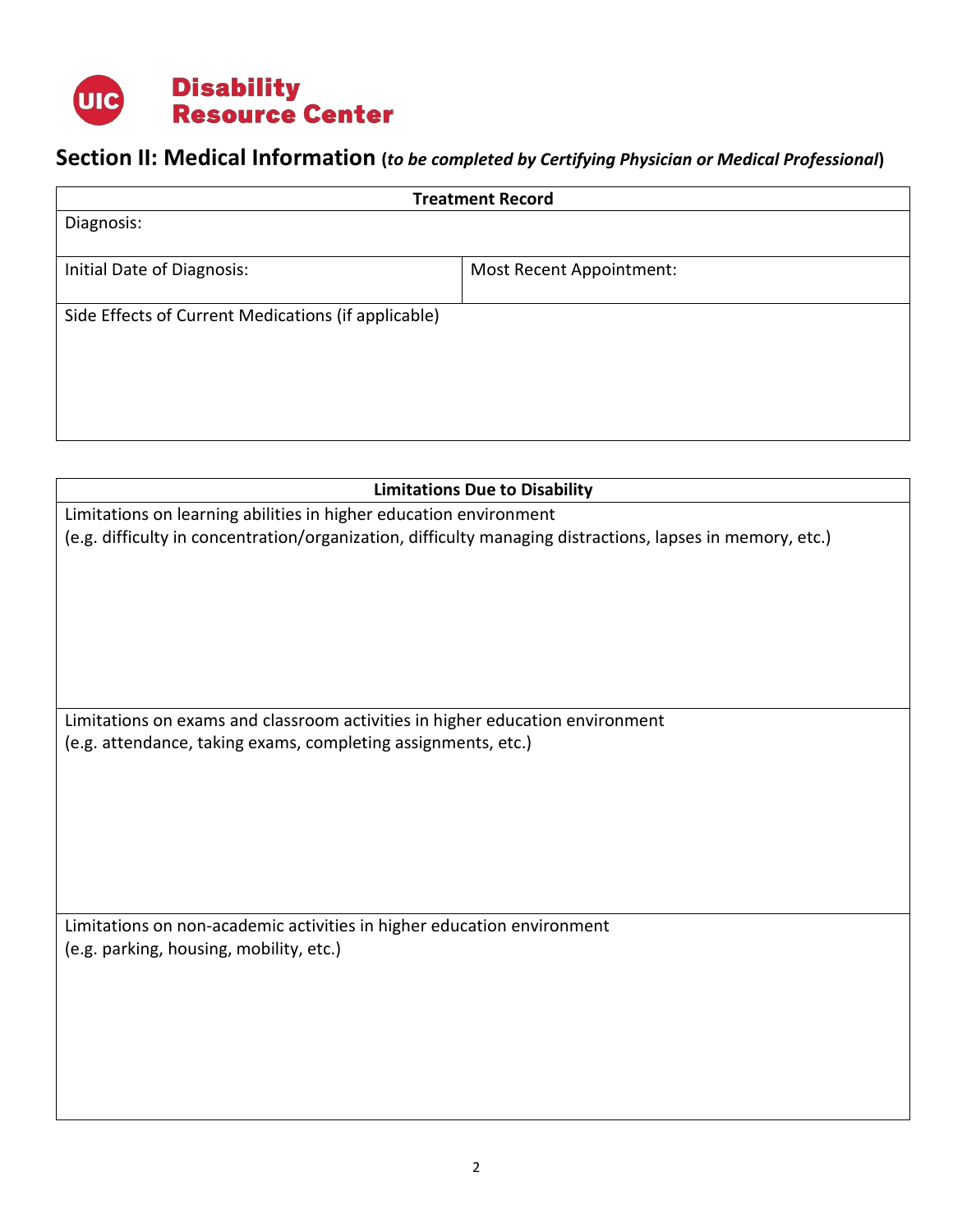

# **Section II: Medical Information (***to be completed by Certifying Physician or Medical Professional***)**

| <b>Treatment Record</b>                             |                          |  |  |
|-----------------------------------------------------|--------------------------|--|--|
| Diagnosis:                                          |                          |  |  |
|                                                     |                          |  |  |
| Initial Date of Diagnosis:                          | Most Recent Appointment: |  |  |
|                                                     |                          |  |  |
| Side Effects of Current Medications (if applicable) |                          |  |  |
|                                                     |                          |  |  |
|                                                     |                          |  |  |
|                                                     |                          |  |  |
|                                                     |                          |  |  |
|                                                     |                          |  |  |

| <b>Limitations Due to Disability</b>                                                                      |  |  |  |  |
|-----------------------------------------------------------------------------------------------------------|--|--|--|--|
| Limitations on learning abilities in higher education environment                                         |  |  |  |  |
| (e.g. difficulty in concentration/organization, difficulty managing distractions, lapses in memory, etc.) |  |  |  |  |
|                                                                                                           |  |  |  |  |
|                                                                                                           |  |  |  |  |
|                                                                                                           |  |  |  |  |
|                                                                                                           |  |  |  |  |
|                                                                                                           |  |  |  |  |
| Limitations on exams and classroom activities in higher education environment                             |  |  |  |  |
| (e.g. attendance, taking exams, completing assignments, etc.)                                             |  |  |  |  |
|                                                                                                           |  |  |  |  |
|                                                                                                           |  |  |  |  |
|                                                                                                           |  |  |  |  |
|                                                                                                           |  |  |  |  |
|                                                                                                           |  |  |  |  |
| Limitations on non-academic activities in higher education environment                                    |  |  |  |  |
| (e.g. parking, housing, mobility, etc.)                                                                   |  |  |  |  |
|                                                                                                           |  |  |  |  |
|                                                                                                           |  |  |  |  |
|                                                                                                           |  |  |  |  |
|                                                                                                           |  |  |  |  |
|                                                                                                           |  |  |  |  |
|                                                                                                           |  |  |  |  |